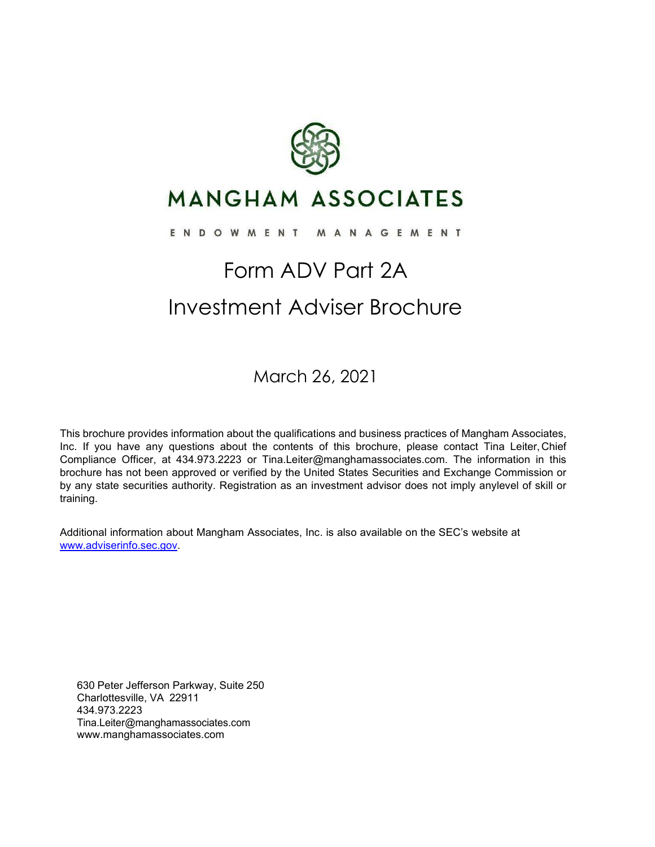

## **MANGHAM ASSOCIATES**

#### ENDOWMENT MANAGEMENT

## Form ADV Part 2A Investment Adviser Brochure

March 26, 2021

This brochure provides information about the qualifications and business practices of Mangham Associates, Inc. If you have any questions about the contents of this brochure, please contact Tina Leiter, Chief Compliance Officer, at 434.973.2223 or [Tina.Leiter@manghamassociates.com. T](mailto:Tina.Leiter@manghamassociates.com)he information in this brochure has not been approved or verified by the United States Securities and Exchange Commission or by any state securities authority. Registration as an investment advisor does not imply anylevel of skill or training.

Additional information about Mangham Associates, Inc. is also available on the SEC's website at [www.adviserinfo.sec.gov.](http://www.adviserinfo.sec.gov/)

630 Peter Jefferson Parkway, Suite 250 Charlottesville, VA 22911 434.973.2223 [Tina.Leiter@manghamassociates.com](mailto:Tina.Leiter@manghamassociates.com) [www.manghamassociates.com](http://www.manghamassociates.com/)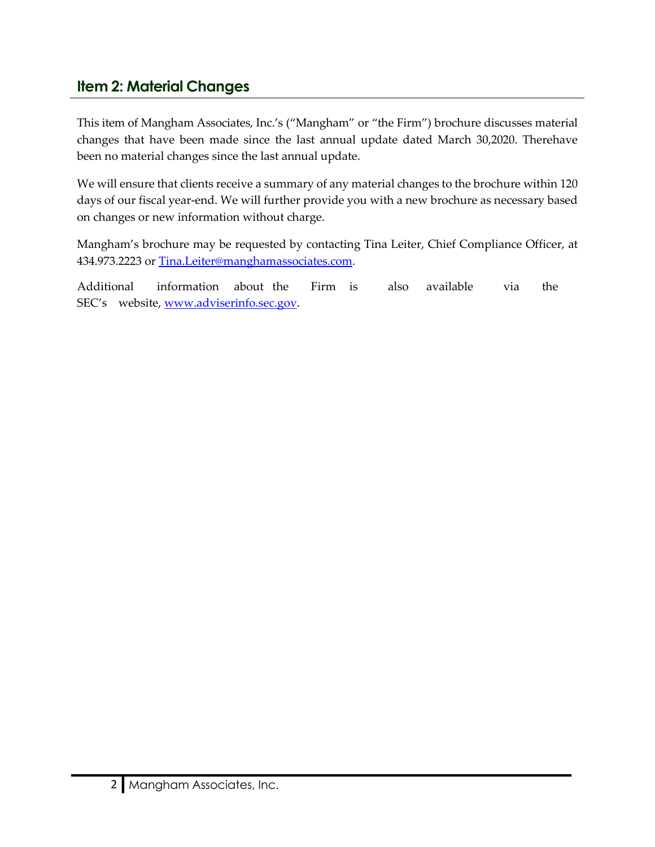## <span id="page-1-0"></span>**Item 2: Material Changes**

This item of Mangham Associates, Inc.'s ("Mangham" or "the Firm") brochure discusses material changes that have been made since the last annual update dated March 30,2020. Therehave been no material changes since the last annual update.

We will ensure that clients receive a summary of any material changes to the brochure within 120 days of our fiscal year-end. We will further provide you with a new brochure as necessary based on changes or new information without charge.

Mangham's brochure may be requested by contacting Tina Leiter, Chief Compliance Officer, at 434.973.2223 or [Tina.Leiter@manghamassociates.com.](mailto:Tina.Leiter@manghamassociates.com)

Additional information about the Firm is also available via the SEC's website, [www.adviserinfo.sec.gov.](http://www.adviserinfo.sec.gov/)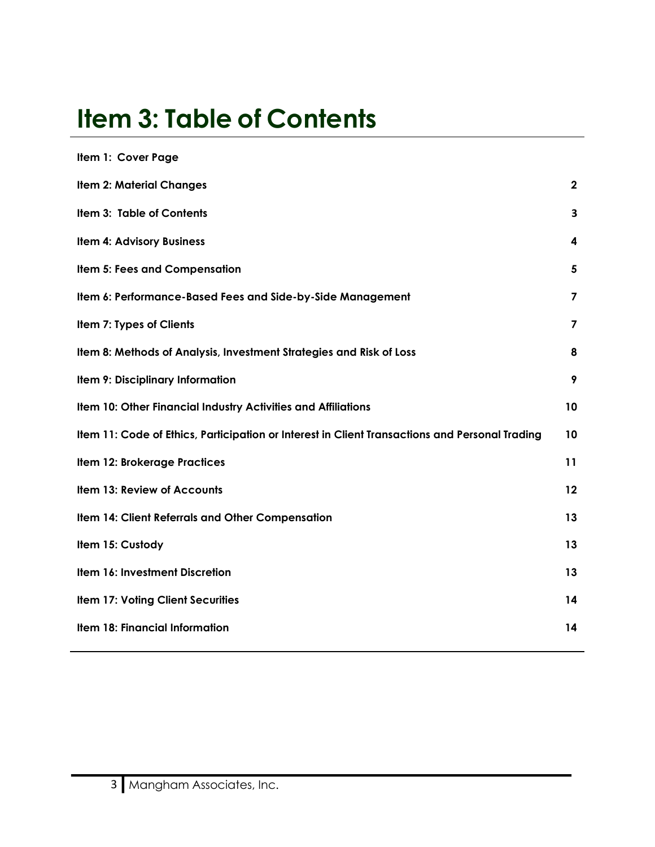# <span id="page-2-0"></span>**Item 3: Table of Contents**

| Item 1: Cover Page                                                                             |                         |
|------------------------------------------------------------------------------------------------|-------------------------|
| <b>Item 2: Material Changes</b>                                                                | $\mathbf{2}$            |
| Item 3: Table of Contents                                                                      | 3                       |
| <b>Item 4: Advisory Business</b>                                                               | 4                       |
| <b>Item 5: Fees and Compensation</b>                                                           | $\overline{\mathbf{5}}$ |
| Item 6: Performance-Based Fees and Side-by-Side Management                                     | $\overline{\mathbf{z}}$ |
| Item 7: Types of Clients                                                                       | $\overline{7}$          |
| Item 8: Methods of Analysis, Investment Strategies and Risk of Loss                            | 8                       |
| Item 9: Disciplinary Information                                                               | 9                       |
| Item 10: Other Financial Industry Activities and Affiliations                                  | 10                      |
| Item 11: Code of Ethics, Participation or Interest in Client Transactions and Personal Trading | 10                      |
| <b>Item 12: Brokerage Practices</b>                                                            | 11                      |
| Item 13: Review of Accounts                                                                    | 12                      |
| Item 14: Client Referrals and Other Compensation                                               | 13                      |
| Item 15: Custody                                                                               | 13                      |
| Item 16: Investment Discretion                                                                 | 13                      |
| <b>Item 17: Voting Client Securities</b>                                                       | 14                      |
| Item 18: Financial Information                                                                 | 14                      |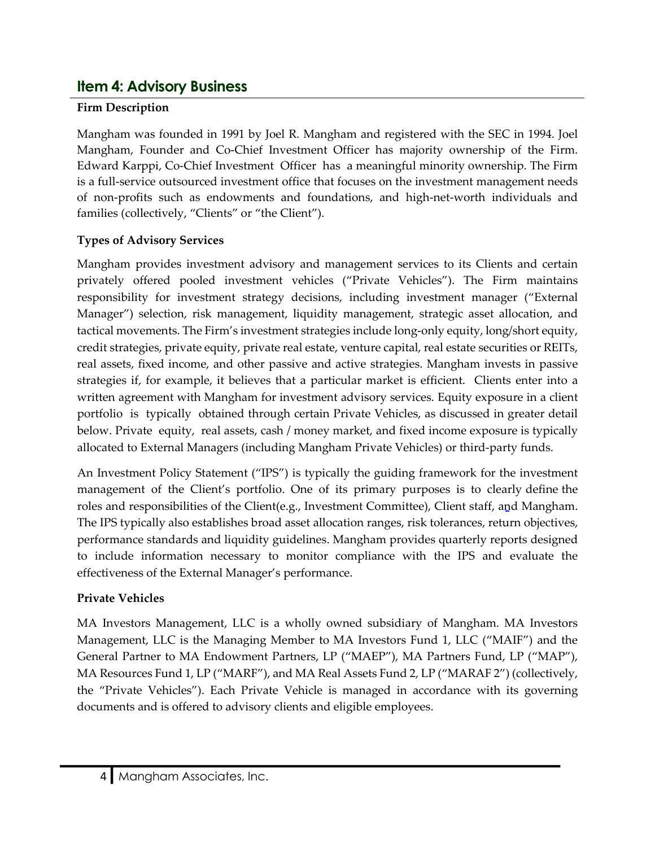## <span id="page-3-0"></span>**Item 4: Advisory Business**

## **Firm Description**

Mangham was founded in 1991 by Joel R. Mangham and registered with the SEC in 1994. Joel Mangham, Founder and Co-Chief Investment Officer has majority ownership of the Firm. Edward Karppi, Co-Chief Investment Officer has a meaningful minority ownership. The Firm is a full-service outsourced investment office that focuses on the investment management needs of non-profits such as endowments and foundations, and high-net-worth individuals and families (collectively, "Clients" or "the Client").

## **Types of Advisory Services**

Mangham provides investment advisory and management services to its Clients and certain privately offered pooled investment vehicles ("Private Vehicles"). The Firm maintains responsibility for investment strategy decisions, including investment manager ("External Manager") selection, risk management, liquidity management, strategic asset allocation, and tactical movements. The Firm's investment strategies include long-only equity, long/short equity, credit strategies, private equity, private real estate, venture capital, real estate securities or REITs, real assets, fixed income, and other passive and active strategies. Mangham invests in passive strategies if, for example, it believes that a particular market is efficient. Clients enter into a written agreement with Mangham for investment advisory services. Equity exposure in a client portfolio is typically obtained through certain Private Vehicles, as discussed in greater detail below. Private equity, real assets, cash / money market, and fixed income exposure is typically allocated to External Managers (including Mangham Private Vehicles) or third-party funds.

An Investment Policy Statement ("IPS") is typically the guiding framework for the investment management of the Client's portfolio. One of its primary purposes is to clearly define the roles and responsibilities of the Client(e.g., Investment Committee), Client staff, and Mangham. The IPS typically also establishes broad asset allocation ranges, risk tolerances, return objectives, performance standards and liquidity guidelines. Mangham provides quarterly reports designed to include information necessary to monitor compliance with the IPS and evaluate the effectiveness of the External Manager's performance.

### **Private Vehicles**

MA Investors Management, LLC is a wholly owned subsidiary of Mangham. MA Investors Management, LLC is the Managing Member to MA Investors Fund 1, LLC ("MAIF") and the General Partner to MA Endowment Partners, LP ("MAEP"), MA Partners Fund, LP ("MAP"), MA Resources Fund 1, LP ("MARF"), and MA Real Assets Fund 2, LP ("MARAF 2") (collectively, the "Private Vehicles"). Each Private Vehicle is managed in accordance with its governing documents and is offered to advisory clients and eligible employees.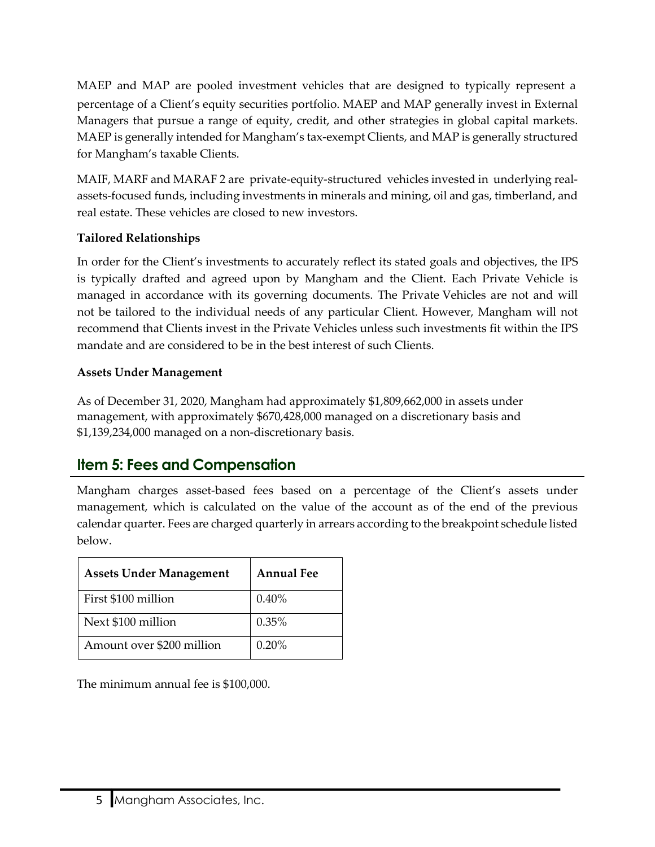MAEP and MAP are pooled investment vehicles that are designed to typically represent a percentage of a Client's equity securities portfolio. MAEP and MAP generally invest in External Managers that pursue a range of equity, credit, and other strategies in global capital markets. MAEP is generally intended for Mangham's tax-exempt Clients, and MAP is generally structured for Mangham's taxable Clients.

MAIF, MARF and MARAF 2 are private-equity-structured vehicles invested in underlying realassets-focused funds, including investments in minerals and mining, oil and gas, timberland, and real estate. These vehicles are closed to new investors.

### **Tailored Relationships**

In order for the Client's investments to accurately reflect its stated goals and objectives, the IPS is typically drafted and agreed upon by Mangham and the Client. Each Private Vehicle is managed in accordance with its governing documents. The Private Vehicles are not and will not be tailored to the individual needs of any particular Client. However, Mangham will not recommend that Clients invest in the Private Vehicles unless such investments fit within the IPS mandate and are considered to be in the best interest of such Clients.

#### **Assets Under Management**

As of December 31, 2020, Mangham had approximately \$1,809,662,000 in assets under management, with approximately \$670,428,000 managed on a discretionary basis and \$1,139,234,000 managed on a non-discretionary basis.

## <span id="page-4-0"></span>**Item 5: Fees and Compensation**

Mangham charges asset-based fees based on a percentage of the Client's assets under management, which is calculated on the value of the account as of the end of the previous calendar quarter. Fees are charged quarterly in arrears according to the breakpoint schedule listed below.

| <b>Assets Under Management</b> | <b>Annual Fee</b> |
|--------------------------------|-------------------|
| First \$100 million            | 0.40%             |
| Next \$100 million             | 0.35%             |
| Amount over \$200 million      | 0.20%             |

The minimum annual fee is \$100,000.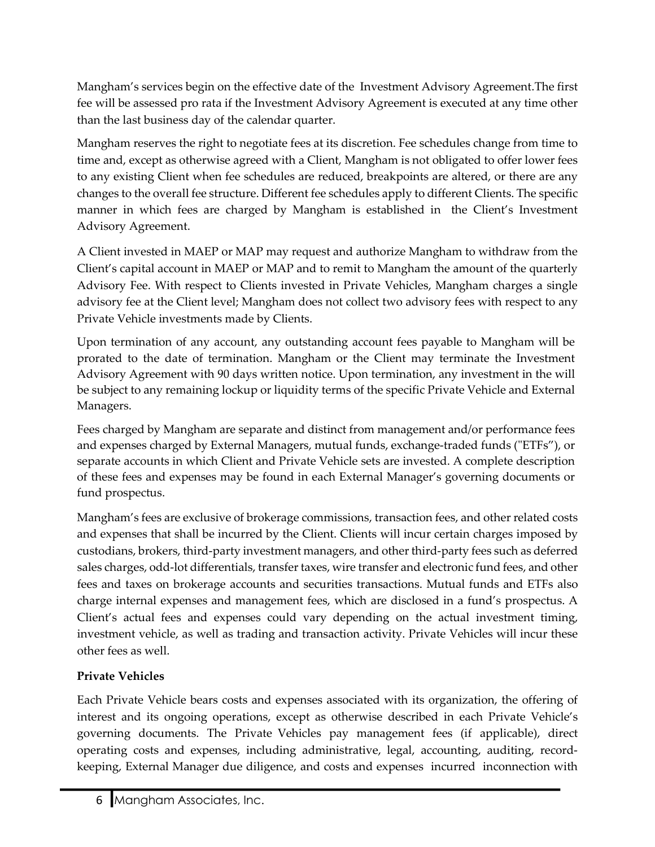Mangham's services begin on the effective date of the Investment Advisory Agreement.The first fee will be assessed pro rata if the Investment Advisory Agreement is executed at any time other than the last business day of the calendar quarter.

Mangham reserves the right to negotiate fees at its discretion. Fee schedules change from time to time and, except as otherwise agreed with a Client, Mangham is not obligated to offer lower fees to any existing Client when fee schedules are reduced, breakpoints are altered, or there are any changes to the overall fee structure. Different fee schedules apply to different Clients. The specific manner in which fees are charged by Mangham is established in the Client's Investment Advisory Agreement.

A Client invested in MAEP or MAP may request and authorize Mangham to withdraw from the Client's capital account in MAEP or MAP and to remit to Mangham the amount of the quarterly Advisory Fee. With respect to Clients invested in Private Vehicles, Mangham charges a single advisory fee at the Client level; Mangham does not collect two advisory fees with respect to any Private Vehicle investments made by Clients.

Upon termination of any account, any outstanding account fees payable to Mangham will be prorated to the date of termination. Mangham or the Client may terminate the Investment Advisory Agreement with 90 days written notice. Upon termination, any investment in the will be subject to any remaining lockup or liquidity terms of the specific Private Vehicle and External Managers.

Fees charged by Mangham are separate and distinct from management and/or performance fees and expenses charged by External Managers, mutual funds, exchange-traded funds ("ETFs"), or separate accounts in which Client and Private Vehicle sets are invested. A complete description of these fees and expenses may be found in each External Manager's governing documents or fund prospectus.

Mangham's fees are exclusive of brokerage commissions, transaction fees, and other related costs and expenses that shall be incurred by the Client. Clients will incur certain charges imposed by custodians, brokers, third-party investment managers, and other third-party fees such as deferred sales charges, odd-lot differentials, transfer taxes, wire transfer and electronic fund fees, and other fees and taxes on brokerage accounts and securities transactions. Mutual funds and ETFs also charge internal expenses and management fees, which are disclosed in a fund's prospectus. A Client's actual fees and expenses could vary depending on the actual investment timing, investment vehicle, as well as trading and transaction activity. Private Vehicles will incur these other fees as well.

### **Private Vehicles**

Each Private Vehicle bears costs and expenses associated with its organization, the offering of interest and its ongoing operations, except as otherwise described in each Private Vehicle's governing documents. The Private Vehicles pay management fees (if applicable), direct operating costs and expenses, including administrative, legal, accounting, auditing, recordkeeping, External Manager due diligence, and costs and expenses incurred inconnection with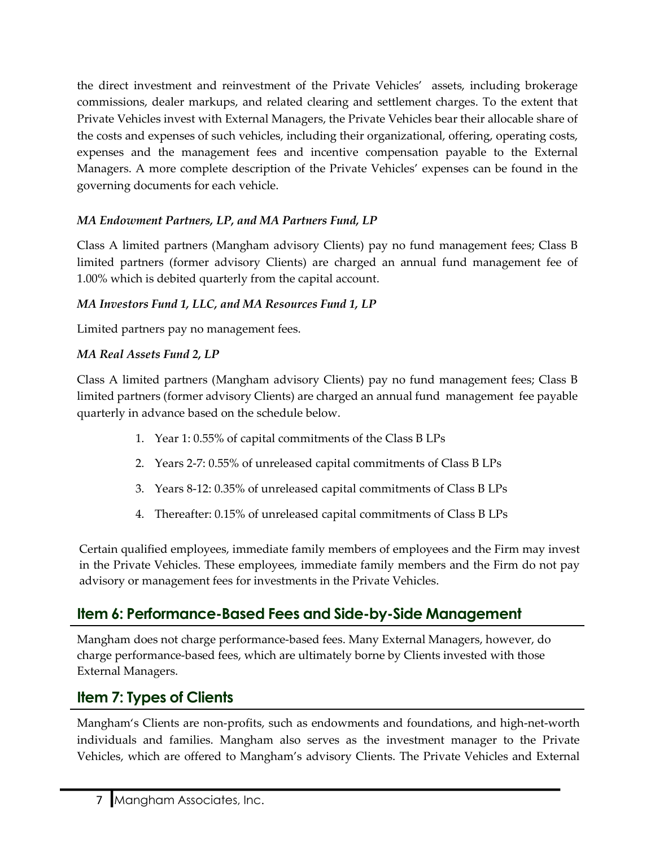the direct investment and reinvestment of the Private Vehicles' assets, including brokerage commissions, dealer markups, and related clearing and settlement charges. To the extent that Private Vehicles invest with External Managers, the Private Vehicles bear their allocable share of the costs and expenses of such vehicles, including their organizational, offering, operating costs, expenses and the management fees and incentive compensation payable to the External Managers. A more complete description of the Private Vehicles' expenses can be found in the governing documents for each vehicle.

## *MA Endowment Partners, LP, and MA Partners Fund, LP*

Class A limited partners (Mangham advisory Clients) pay no fund management fees; Class B limited partners (former advisory Clients) are charged an annual fund management fee of 1.00% which is debited quarterly from the capital account.

### *MA Investors Fund 1, LLC, and MA Resources Fund 1, LP*

Limited partners pay no management fees.

### *MA Real Assets Fund 2, LP*

Class A limited partners (Mangham advisory Clients) pay no fund management fees; Class B limited partners (former advisory Clients) are charged an annual fund management fee payable quarterly in advance based on the schedule below.

- 1. Year 1: 0.55% of capital commitments of the Class B LPs
- 2. Years 2-7: 0.55% of unreleased capital commitments of Class B LPs
- 3. Years 8-12: 0.35% of unreleased capital commitments of Class B LPs
- 4. Thereafter: 0.15% of unreleased capital commitments of Class B LPs

Certain qualified employees, immediate family members of employees and the Firm may invest in the Private Vehicles. These employees, immediate family members and the Firm do not pay advisory or management fees for investments in the Private Vehicles.

## <span id="page-6-0"></span>**Item 6: Performance-Based Fees and Side-by-Side Management**

Mangham does not charge performance-based fees. Many External Managers, however, do charge performance-based fees, which are ultimately borne by Clients invested with those External Managers.

## <span id="page-6-1"></span>**Item 7: Types of Clients**

Mangham's Clients are non-profits, such as endowments and foundations, and high-net-worth individuals and families. Mangham also serves as the investment manager to the Private Vehicles, which are offered to Mangham's advisory Clients. The Private Vehicles and External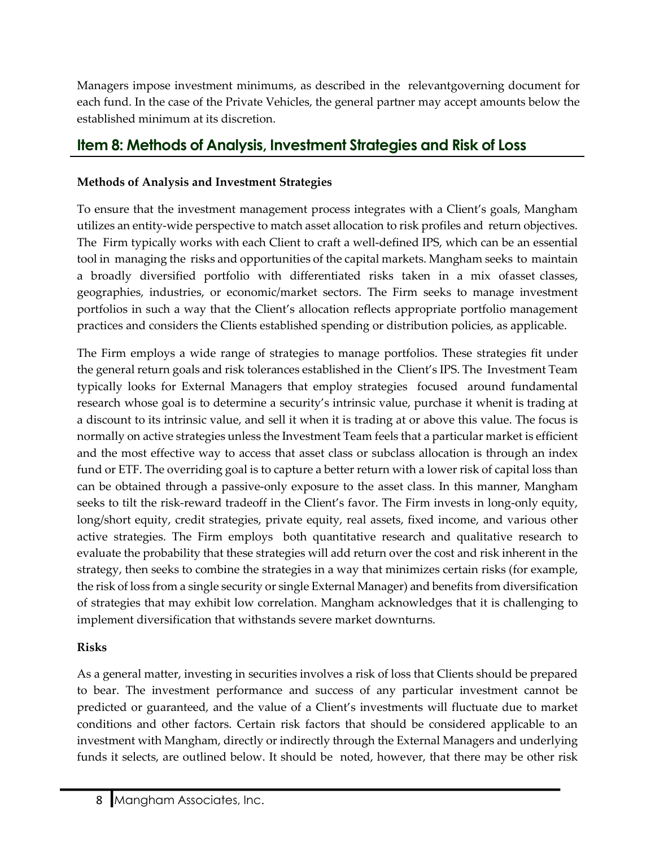Managers impose investment minimums, as described in the relevantgoverning document for each fund. In the case of the Private Vehicles, the general partner may accept amounts below the established minimum at its discretion.

## <span id="page-7-0"></span>**Item 8: Methods of Analysis, Investment Strategies and Risk of Loss**

### **Methods of Analysis and Investment Strategies**

To ensure that the investment management process integrates with a Client's goals, Mangham utilizes an entity-wide perspective to match asset allocation to risk profiles and return objectives. The Firm typically works with each Client to craft a well-defined IPS, which can be an essential tool in managing the risks and opportunities of the capital markets. Mangham seeks to maintain a broadly diversified portfolio with differentiated risks taken in a mix ofasset classes, geographies, industries, or economic/market sectors. The Firm seeks to manage investment portfolios in such a way that the Client's allocation reflects appropriate portfolio management practices and considers the Clients established spending or distribution policies, as applicable.

The Firm employs a wide range of strategies to manage portfolios. These strategies fit under the general return goals and risk tolerances established in the Client's IPS. The Investment Team typically looks for External Managers that employ strategies focused around fundamental research whose goal is to determine a security's intrinsic value, purchase it whenit is trading at a discount to its intrinsic value, and sell it when it is trading at or above this value. The focus is normally on active strategies unless the Investment Team feels that a particular market is efficient and the most effective way to access that asset class or subclass allocation is through an index fund or ETF. The overriding goal is to capture a better return with a lower risk of capital loss than can be obtained through a passive-only exposure to the asset class. In this manner, Mangham seeks to tilt the risk-reward tradeoff in the Client's favor. The Firm invests in long-only equity, long/short equity, credit strategies, private equity, real assets, fixed income, and various other active strategies. The Firm employs both quantitative research and qualitative research to evaluate the probability that these strategies will add return over the cost and risk inherent in the strategy, then seeks to combine the strategies in a way that minimizes certain risks (for example, the risk of loss from a single security or single External Manager) and benefits from diversification of strategies that may exhibit low correlation. Mangham acknowledges that it is challenging to implement diversification that withstands severe market downturns.

## **Risks**

As a general matter, investing in securities involves a risk of loss that Clients should be prepared to bear. The investment performance and success of any particular investment cannot be predicted or guaranteed, and the value of a Client's investments will fluctuate due to market conditions and other factors. Certain risk factors that should be considered applicable to an investment with Mangham, directly or indirectly through the External Managers and underlying funds it selects, are outlined below. It should be noted, however, that there may be other risk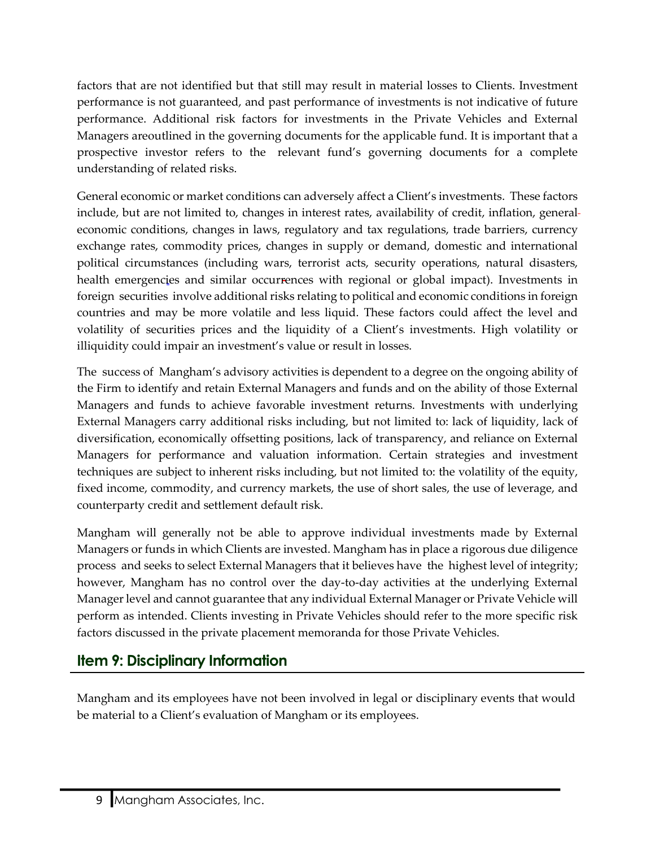factors that are not identified but that still may result in material losses to Clients. Investment performance is not guaranteed, and past performance of investments is not indicative of future performance. Additional risk factors for investments in the Private Vehicles and External Managers areoutlined in the governing documents for the applicable fund. It is important that a prospective investor refers to the relevant fund's governing documents for a complete understanding of related risks.

General economic or market conditions can adversely affect a Client's investments. These factors include, but are not limited to, changes in interest rates, availability of credit, inflation, general economic conditions, changes in laws, regulatory and tax regulations, trade barriers, currency exchange rates, commodity prices, changes in supply or demand, domestic and international political circumstances (including wars, terrorist acts, security operations, natural disasters, health emergencies and similar occurrences with regional or global impact). Investments in foreign securities involve additional risks relating to political and economic conditions in foreign countries and may be more volatile and less liquid. These factors could affect the level and volatility of securities prices and the liquidity of a Client's investments. High volatility or illiquidity could impair an investment's value or result in losses.

The success of Mangham's advisory activities is dependent to a degree on the ongoing ability of the Firm to identify and retain External Managers and funds and on the ability of those External Managers and funds to achieve favorable investment returns. Investments with underlying External Managers carry additional risks including, but not limited to: lack of liquidity, lack of diversification, economically offsetting positions, lack of transparency, and reliance on External Managers for performance and valuation information. Certain strategies and investment techniques are subject to inherent risks including, but not limited to: the volatility of the equity, fixed income, commodity, and currency markets, the use of short sales, the use of leverage, and counterparty credit and settlement default risk.

Mangham will generally not be able to approve individual investments made by External Managers or funds in which Clients are invested. Mangham has in place a rigorous due diligence process and seeks to select External Managers that it believes have the highest level of integrity; however, Mangham has no control over the day-to-day activities at the underlying External Manager level and cannot guarantee that any individual External Manager or Private Vehicle will perform as intended. Clients investing in Private Vehicles should refer to the more specific risk factors discussed in the private placement memoranda for those Private Vehicles.

## <span id="page-8-0"></span>**Item 9: Disciplinary Information**

Mangham and its employees have not been involved in legal or disciplinary events that would be material to a Client's evaluation of Mangham or its employees.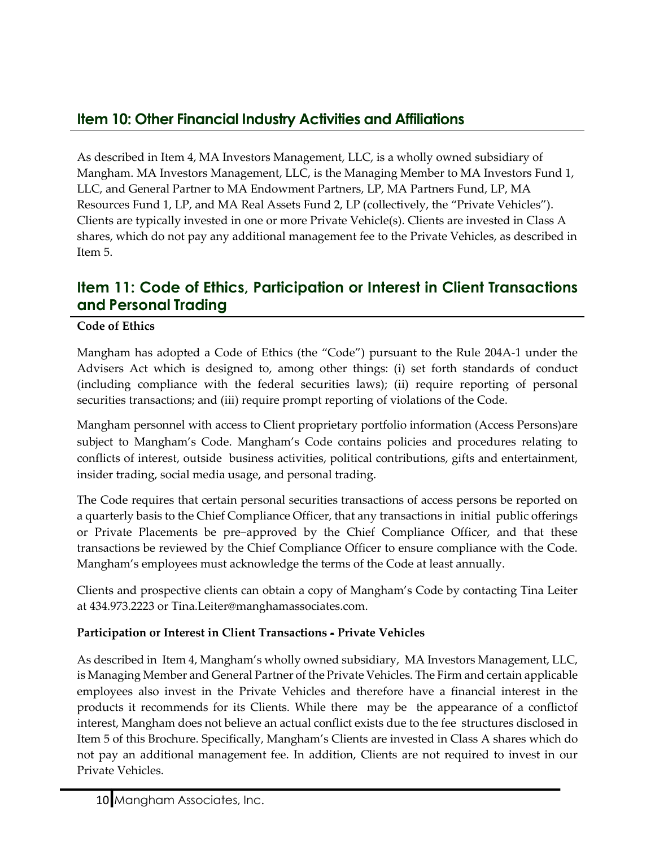## <span id="page-9-0"></span>**Item 10: Other Financial Industry Activities and Affiliations**

As described in Item 4, MA Investors Management, LLC, is a wholly owned subsidiary of Mangham. MA Investors Management, LLC, is the Managing Member to MA Investors Fund 1, LLC, and General Partner to MA Endowment Partners, LP, MA Partners Fund, LP, MA Resources Fund 1, LP, and MA Real Assets Fund 2, LP (collectively, the "Private Vehicles"). Clients are typically invested in one or more Private Vehicle(s). Clients are invested in Class A shares, which do not pay any additional management fee to the Private Vehicles, as described in Item 5.

## <span id="page-9-1"></span>**Item 11: Code of Ethics, Participation or Interest in Client Transactions and Personal Trading**

#### **Code of Ethics**

Mangham has adopted a Code of Ethics (the "Code") pursuant to the Rule 204A-1 under the Advisers Act which is designed to, among other things: (i) set forth standards of conduct (including compliance with the federal securities laws); (ii) require reporting of personal securities transactions; and (iii) require prompt reporting of violations of the Code.

Mangham personnel with access to Client proprietary portfolio information (Access Persons)are subject to Mangham's Code. Mangham's Code contains policies and procedures relating to conflicts of interest, outside business activities, political contributions, gifts and entertainment, insider trading, social media usage, and personal trading.

The Code requires that certain personal securities transactions of access persons be reported on a quarterly basis to the Chief Compliance Officer, that any transactions in initial public offerings or Private Placements be pre−approved by the Chief Compliance Officer, and that these transactions be reviewed by the Chief Compliance Officer to ensure compliance with the Code. Mangham's employees must acknowledge the terms of the Code at least annually.

Clients and prospective clients can obtain a copy of Mangham's Code by contacting Tina Leiter at 434.973.2223 or [Tina.Leiter@manghamassociates.com.](mailto:Tina.Leiter@manghamassociates.com)

#### **Participation or Interest in Client Transactions - Private Vehicles**

As described in Item 4, Mangham's wholly owned subsidiary, MA Investors Management, LLC, is Managing Member and General Partner of the Private Vehicles. The Firm and certain applicable employees also invest in the Private Vehicles and therefore have a financial interest in the products it recommends for its Clients. While there may be the appearance of a conflictof interest, Mangham does not believe an actual conflict exists due to the fee structures disclosed in Item 5 of this Brochure. Specifically, Mangham's Clients are invested in Class A shares which do not pay an additional management fee. In addition, Clients are not required to invest in our Private Vehicles.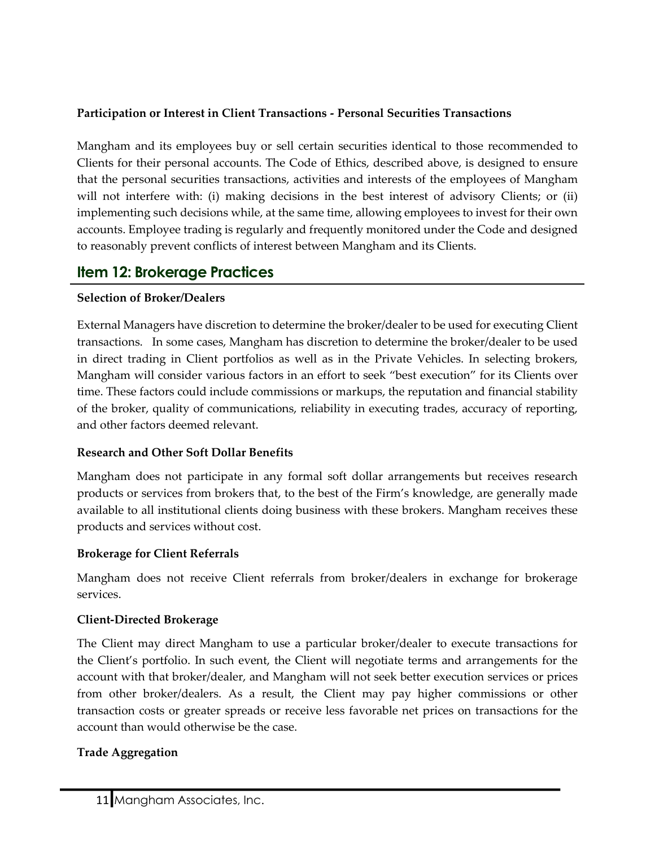#### **Participation or Interest in Client Transactions - Personal Securities Transactions**

Mangham and its employees buy or sell certain securities identical to those recommended to Clients for their personal accounts. The Code of Ethics, described above, is designed to ensure that the personal securities transactions, activities and interests of the employees of Mangham will not interfere with: (i) making decisions in the best interest of advisory Clients; or (ii) implementing such decisions while, at the same time, allowing employees to invest for their own accounts. Employee trading is regularly and frequently monitored under the Code and designed to reasonably prevent conflicts of interest between Mangham and its Clients.

## <span id="page-10-0"></span>**Item 12: Brokerage Practices**

#### **Selection of Broker/Dealers**

External Managers have discretion to determine the broker/dealer to be used for executing Client transactions. In some cases, Mangham has discretion to determine the broker/dealer to be used in direct trading in Client portfolios as well as in the Private Vehicles. In selecting brokers, Mangham will consider various factors in an effort to seek "best execution" for its Clients over time. These factors could include commissions or markups, the reputation and financial stability of the broker, quality of communications, reliability in executing trades, accuracy of reporting, and other factors deemed relevant.

#### **Research and Other Soft Dollar Benefits**

Mangham does not participate in any formal soft dollar arrangements but receives research products or services from brokers that, to the best of the Firm's knowledge, are generally made available to all institutional clients doing business with these brokers. Mangham receives these products and services without cost.

#### **Brokerage for Client Referrals**

Mangham does not receive Client referrals from broker/dealers in exchange for brokerage services.

#### **Client-Directed Brokerage**

The Client may direct Mangham to use a particular broker/dealer to execute transactions for the Client's portfolio. In such event, the Client will negotiate terms and arrangements for the account with that broker/dealer, and Mangham will not seek better execution services or prices from other broker/dealers. As a result, the Client may pay higher commissions or other transaction costs or greater spreads or receive less favorable net prices on transactions for the account than would otherwise be the case.

#### **Trade Aggregation**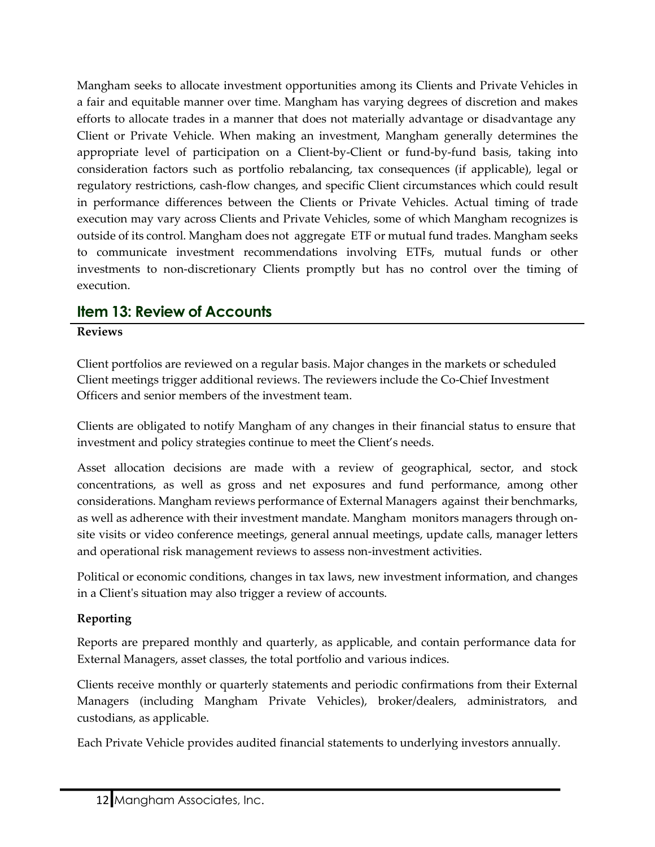Mangham seeks to allocate investment opportunities among its Clients and Private Vehicles in a fair and equitable manner over time. Mangham has varying degrees of discretion and makes efforts to allocate trades in a manner that does not materially advantage or disadvantage any Client or Private Vehicle. When making an investment, Mangham generally determines the appropriate level of participation on a Client-by-Client or fund-by-fund basis, taking into consideration factors such as portfolio rebalancing, tax consequences (if applicable), legal or regulatory restrictions, cash-flow changes, and specific Client circumstances which could result in performance differences between the Clients or Private Vehicles. Actual timing of trade execution may vary across Clients and Private Vehicles, some of which Mangham recognizes is outside of its control. Mangham does not aggregate ETF or mutual fund trades. Mangham seeks to communicate investment recommendations involving ETFs, mutual funds or other investments to non-discretionary Clients promptly but has no control over the timing of execution.

## <span id="page-11-0"></span>**Item 13: Review of Accounts**

#### **Reviews**

Client portfolios are reviewed on a regular basis. Major changes in the markets or scheduled Client meetings trigger additional reviews. The reviewers include the Co-Chief Investment Officers and senior members of the investment team.

Clients are obligated to notify Mangham of any changes in their financial status to ensure that investment and policy strategies continue to meet the Client's needs.

Asset allocation decisions are made with a review of geographical, sector, and stock concentrations, as well as gross and net exposures and fund performance, among other considerations. Mangham reviews performance of External Managers against their benchmarks, as well as adherence with their investment mandate. Mangham monitors managers through onsite visits or video conference meetings, general annual meetings, update calls, manager letters and operational risk management reviews to assess non-investment activities.

Political or economic conditions, changes in tax laws, new investment information, and changes in a Client's situation may also trigger a review of accounts.

#### **Reporting**

Reports are prepared monthly and quarterly, as applicable, and contain performance data for External Managers, asset classes, the total portfolio and various indices.

Clients receive monthly or quarterly statements and periodic confirmations from their External Managers (including Mangham Private Vehicles), broker/dealers, administrators, and custodians, as applicable.

Each Private Vehicle provides audited financial statements to underlying investors annually.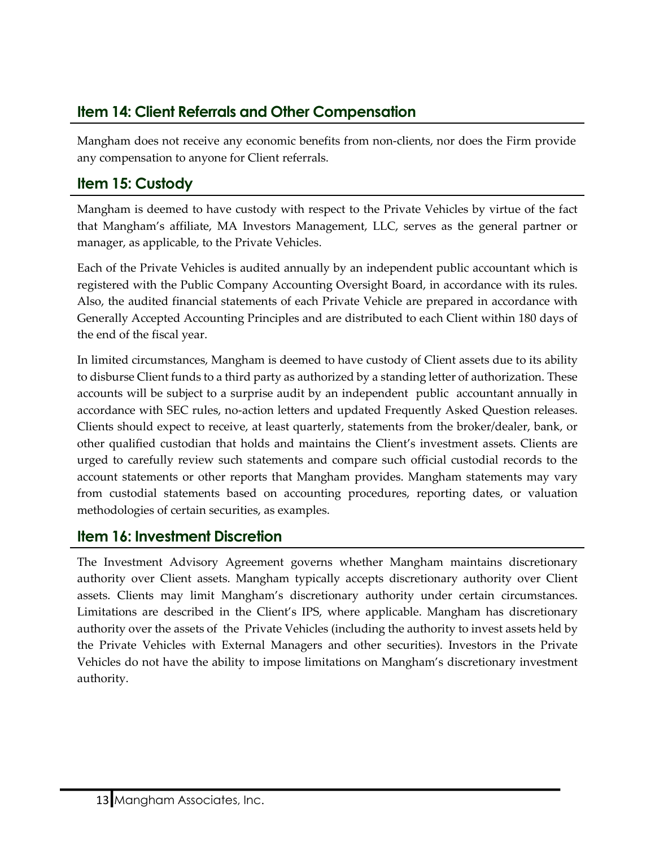## <span id="page-12-0"></span>**Item 14: Client Referrals and Other Compensation**

Mangham does not receive any economic benefits from non-clients, nor does the Firm provide any compensation to anyone for Client referrals.

## <span id="page-12-1"></span>**Item 15: Custody**

Mangham is deemed to have custody with respect to the Private Vehicles by virtue of the fact that Mangham's affiliate, MA Investors Management, LLC, serves as the general partner or manager, as applicable, to the Private Vehicles.

Each of the Private Vehicles is audited annually by an independent public accountant which is registered with the Public Company Accounting Oversight Board, in accordance with its rules. Also, the audited financial statements of each Private Vehicle are prepared in accordance with Generally Accepted Accounting Principles and are distributed to each Client within 180 days of the end of the fiscal year.

In limited circumstances, Mangham is deemed to have custody of Client assets due to its ability to disburse Client funds to a third party as authorized by a standing letter of authorization. These accounts will be subject to a surprise audit by an independent public accountant annually in accordance with SEC rules, no-action letters and updated Frequently Asked Question releases. Clients should expect to receive, at least quarterly, statements from the broker/dealer, bank, or other qualified custodian that holds and maintains the Client's investment assets. Clients are urged to carefully review such statements and compare such official custodial records to the account statements or other reports that Mangham provides. Mangham statements may vary from custodial statements based on accounting procedures, reporting dates, or valuation methodologies of certain securities, as examples.

## <span id="page-12-2"></span>**Item 16: Investment Discretion**

The Investment Advisory Agreement governs whether Mangham maintains discretionary authority over Client assets. Mangham typically accepts discretionary authority over Client assets. Clients may limit Mangham's discretionary authority under certain circumstances. Limitations are described in the Client's IPS, where applicable. Mangham has discretionary authority over the assets of the Private Vehicles (including the authority to invest assets held by the Private Vehicles with External Managers and other securities). Investors in the Private Vehicles do not have the ability to impose limitations on Mangham's discretionary investment authority.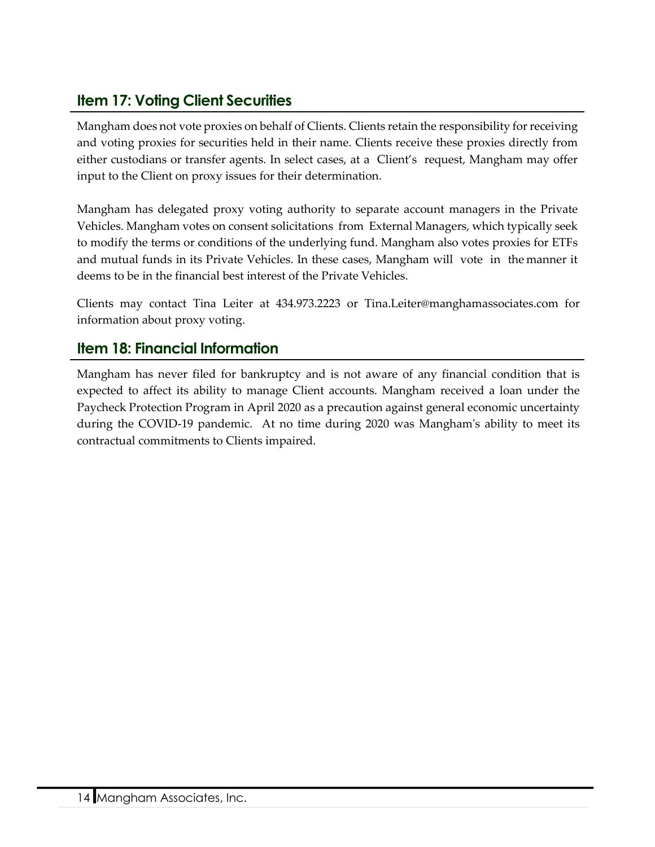## <span id="page-13-0"></span>**Item 17: Voting Client Securities**

Mangham does not vote proxies on behalf of Clients. Clients retain the responsibility for receiving and voting proxies for securities held in their name. Clients receive these proxies directly from either custodians or transfer agents. In select cases, at a Client's request, Mangham may offer input to the Client on proxy issues for their determination.

Mangham has delegated proxy voting authority to separate account managers in the Private Vehicles. Mangham votes on consent solicitations from External Managers, which typically seek to modify the terms or conditions of the underlying fund. Mangham also votes proxies for ETFs and mutual funds in its Private Vehicles. In these cases, Mangham will vote in the manner it deems to be in the financial best interest of the Private Vehicles.

Clients may contact Tina Leiter at 434.973.2223 or [Tina.Leiter@manghamassociates.com](mailto:Tina.Leiter@manghamassociates.com) for information about proxy voting.

## <span id="page-13-1"></span>**Item 18: Financial Information**

Mangham has never filed for bankruptcy and is not aware of any financial condition that is expected to affect its ability to manage Client accounts. Mangham received a loan under the Paycheck Protection Program in April 2020 as a precaution against general economic uncertainty during the COVID-19 pandemic. At no time during 2020 was Mangham's ability to meet its contractual commitments to Clients impaired.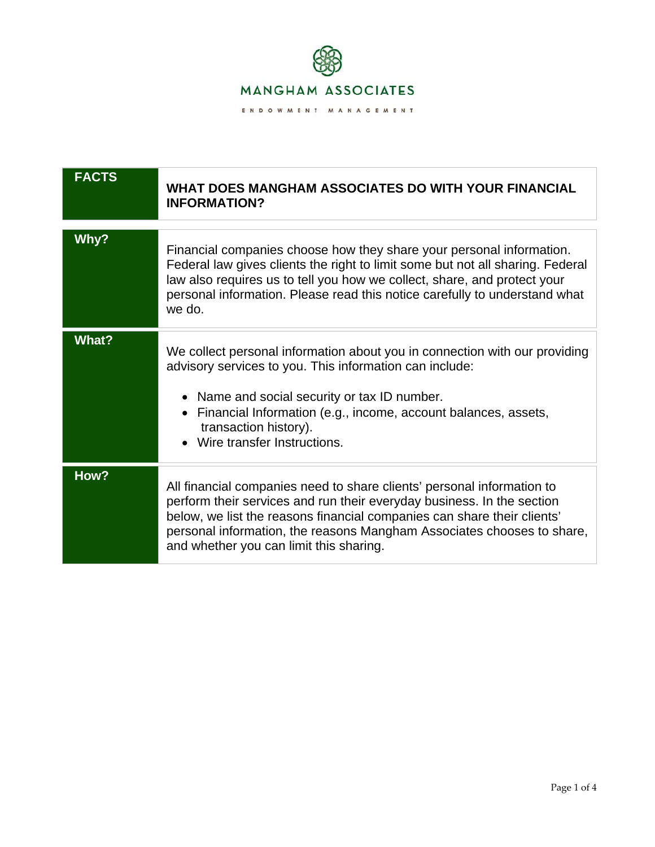

| <b>FACTS</b> | WHAT DOES MANGHAM ASSOCIATES DO WITH YOUR FINANCIAL<br><b>INFORMATION?</b>                                                                                                                                                                                                                                                                       |
|--------------|--------------------------------------------------------------------------------------------------------------------------------------------------------------------------------------------------------------------------------------------------------------------------------------------------------------------------------------------------|
| Why?         | Financial companies choose how they share your personal information.<br>Federal law gives clients the right to limit some but not all sharing. Federal<br>law also requires us to tell you how we collect, share, and protect your<br>personal information. Please read this notice carefully to understand what<br>we do.                       |
| <b>What?</b> | We collect personal information about you in connection with our providing<br>advisory services to you. This information can include:<br>• Name and social security or tax ID number.<br>• Financial Information (e.g., income, account balances, assets,<br>transaction history).<br>• Wire transfer Instructions.                              |
| How?         | All financial companies need to share clients' personal information to<br>perform their services and run their everyday business. In the section<br>below, we list the reasons financial companies can share their clients'<br>personal information, the reasons Mangham Associates chooses to share,<br>and whether you can limit this sharing. |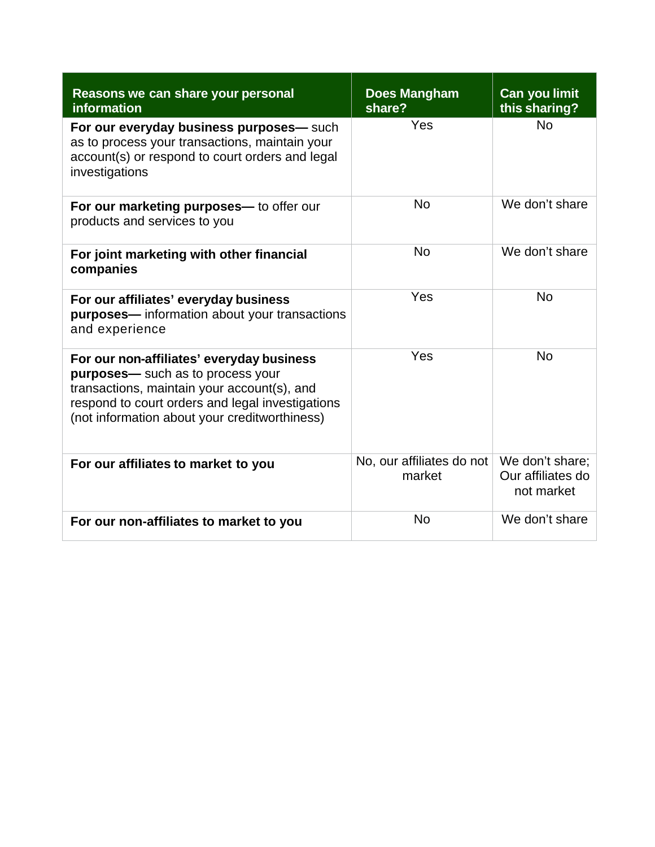| Reasons we can share your personal<br>information                                                                                                                                                                                  | <b>Does Mangham</b><br>share?       | <b>Can you limit</b><br>this sharing?              |
|------------------------------------------------------------------------------------------------------------------------------------------------------------------------------------------------------------------------------------|-------------------------------------|----------------------------------------------------|
| For our everyday business purposes- such<br>as to process your transactions, maintain your<br>account(s) or respond to court orders and legal<br>investigations                                                                    | Yes                                 | <b>No</b>                                          |
| For our marketing purposes— to offer our<br>products and services to you                                                                                                                                                           | <b>No</b>                           | We don't share                                     |
| For joint marketing with other financial<br>companies                                                                                                                                                                              | <b>No</b>                           | We don't share                                     |
| For our affiliates' everyday business<br>purposes-information about your transactions<br>and experience                                                                                                                            | Yes                                 | <b>No</b>                                          |
| For our non-affiliates' everyday business<br>purposes- such as to process your<br>transactions, maintain your account(s), and<br>respond to court orders and legal investigations<br>(not information about your creditworthiness) | Yes                                 | <b>No</b>                                          |
| For our affiliates to market to you                                                                                                                                                                                                | No, our affiliates do not<br>market | We don't share;<br>Our affiliates do<br>not market |
| For our non-affiliates to market to you                                                                                                                                                                                            | <b>No</b>                           | We don't share                                     |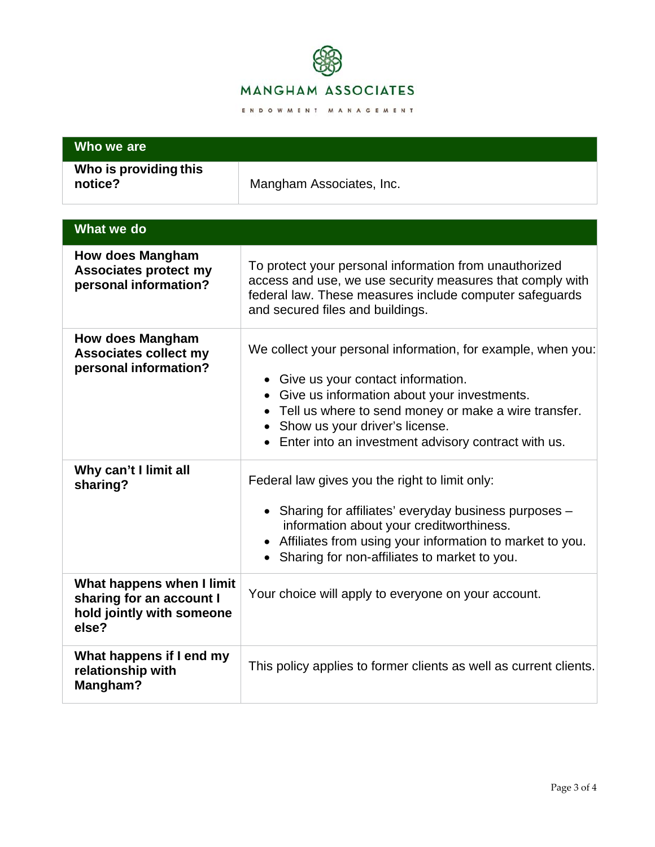

| Who we are                                                                                  |                                                                                                                                                                                                                                                                                                     |  |
|---------------------------------------------------------------------------------------------|-----------------------------------------------------------------------------------------------------------------------------------------------------------------------------------------------------------------------------------------------------------------------------------------------------|--|
| Who is providing this<br>notice?                                                            | Mangham Associates, Inc.                                                                                                                                                                                                                                                                            |  |
| What we do                                                                                  |                                                                                                                                                                                                                                                                                                     |  |
| <b>How does Mangham</b><br><b>Associates protect my</b><br>personal information?            | To protect your personal information from unauthorized<br>access and use, we use security measures that comply with<br>federal law. These measures include computer safeguards<br>and secured files and buildings.                                                                                  |  |
| <b>How does Mangham</b><br><b>Associates collect my</b><br>personal information?            | We collect your personal information, for example, when you:<br>• Give us your contact information.<br>Give us information about your investments.<br>Tell us where to send money or make a wire transfer.<br>Show us your driver's license.<br>Enter into an investment advisory contract with us. |  |
| Why can't I limit all<br>sharing?                                                           | Federal law gives you the right to limit only:<br>• Sharing for affiliates' everyday business purposes -<br>information about your creditworthiness.<br>• Affiliates from using your information to market to you.<br>Sharing for non-affiliates to market to you.                                  |  |
| What happens when I limit<br>sharing for an account I<br>hold jointly with someone<br>else? | Your choice will apply to everyone on your account.                                                                                                                                                                                                                                                 |  |
| What happens if I end my<br>relationship with<br>Mangham?                                   | This policy applies to former clients as well as current clients.                                                                                                                                                                                                                                   |  |